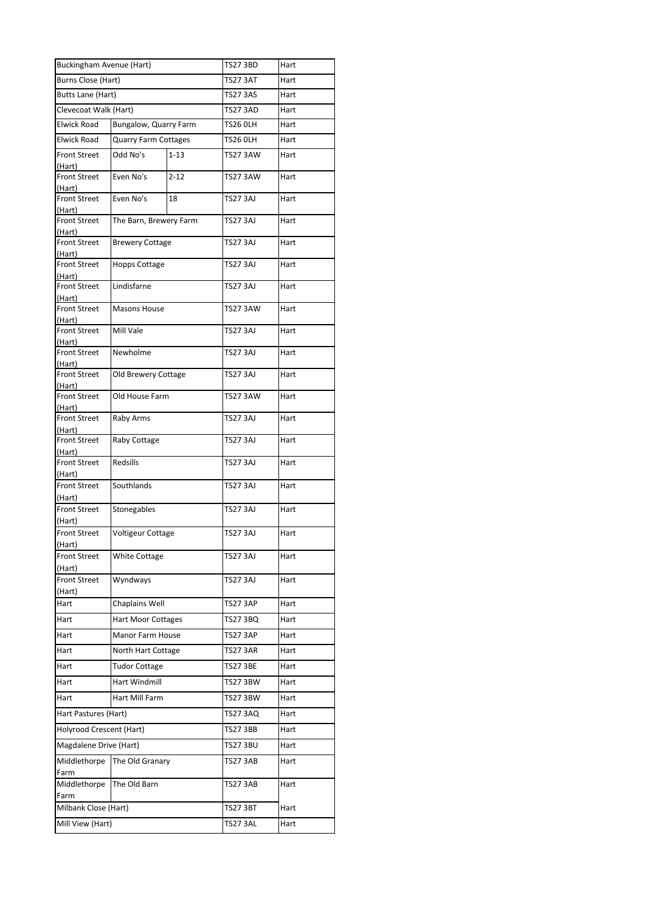| <b>Buckingham Avenue (Hart)</b> |                             |          | TS27 3BD        | Hart |
|---------------------------------|-----------------------------|----------|-----------------|------|
| Burns Close (Hart)              |                             |          | TS27 3AT        | Hart |
| Butts Lane (Hart)               |                             |          | <b>TS27 3AS</b> | Hart |
| Clevecoat Walk (Hart)           |                             |          | TS27 3AD        | Hart |
| Elwick Road                     | Bungalow, Quarry Farm       |          | TS26 OLH        | Hart |
| <b>Elwick Road</b>              | <b>Quarry Farm Cottages</b> |          | TS26 OLH        | Hart |
| <b>Front Street</b><br>(Hart)   | Odd No's                    | $1 - 13$ | <b>TS27 3AW</b> | Hart |
| <b>Front Street</b><br>(Hart)   | Even No's                   | $2 - 12$ | <b>TS27 3AW</b> | Hart |
| <b>Front Street</b><br>(Hart)   | Even No's                   | 18       | TS27 3AJ        | Hart |
| <b>Front Street</b>             | The Barn, Brewery Farm      |          | TS27 3AJ        | Hart |
| (Hart)<br><b>Front Street</b>   | <b>Brewery Cottage</b>      |          | <b>TS27 3AJ</b> | Hart |
| (Hart)<br><b>Front Street</b>   | <b>Hopps Cottage</b>        |          | TS27 3AJ        | Hart |
| (Hart)<br><b>Front Street</b>   | Lindisfarne                 |          | TS27 3AJ        | Hart |
| (Hart)<br><b>Front Street</b>   | <b>Masons House</b>         |          | TS27 3AW        | Hart |
| (Hart)<br><b>Front Street</b>   | Mill Vale                   |          | TS27 3AJ        | Hart |
| (Hart)<br><b>Front Street</b>   | Newholme                    |          | TS27 3AJ        | Hart |
| (Hart)<br><b>Front Street</b>   | Old Brewery Cottage         |          | TS27 3AJ        | Hart |
| (Hart)<br><b>Front Street</b>   | Old House Farm              |          | TS27 3AW        | Hart |
| (Hart)<br><b>Front Street</b>   | Raby Arms                   |          | TS27 3AJ        | Hart |
| (Hart)<br><b>Front Street</b>   | Raby Cottage                |          | <b>TS27 3AJ</b> | Hart |
| (Hart)<br><b>Front Street</b>   | Redsills                    |          | TS27 3AJ        | Hart |
| (Hart)<br><b>Front Street</b>   | Southlands                  |          | <b>TS27 3AJ</b> | Hart |
| (Hart)                          |                             |          |                 |      |
| <b>Front Street</b><br>(Hart)   | Stonegables                 |          | TS27 3AJ        | Hart |
| <b>Front Street</b><br>(Hart)   | <b>Voltigeur Cottage</b>    |          | TS27 3AJ        | Hart |
| <b>Front Street</b><br>(Hart)   | <b>White Cottage</b>        |          | TS27 3AJ        | Hart |
| <b>Front Street</b><br>(Hart)   | Wyndways                    |          | TS27 3AJ        | Hart |
| Hart                            | Chaplains Well              |          | TS27 3AP        | Hart |
| Hart                            | <b>Hart Moor Cottages</b>   |          | TS27 3BQ        | Hart |
| Hart                            | Manor Farm House            |          | TS27 3AP        | Hart |
| Hart                            | North Hart Cottage          |          | <b>TS27 3AR</b> | Hart |
| Hart                            | <b>Tudor Cottage</b>        |          | <b>TS27 3BE</b> | Hart |
| Hart                            | <b>Hart Windmill</b>        |          | TS27 3BW        | Hart |
| Hart                            | Hart Mill Farm              |          | TS27 3BW        | Hart |
| Hart Pastures (Hart)            |                             |          | TS27 3AQ        | Hart |
| Holyrood Crescent (Hart)        |                             |          | <b>TS27 3BB</b> | Hart |
| Magdalene Drive (Hart)          |                             |          | TS27 3BU        | Hart |
| Middlethorpe                    | The Old Granary             |          | TS27 3AB        | Hart |
| Farm<br>Middlethorpe            | The Old Barn                |          | TS27 3AB        | Hart |
| Farm                            |                             |          |                 |      |
| Milbank Close (Hart)            |                             |          | TS27 3BT        | Hart |
| Mill View (Hart)                |                             |          | <b>TS27 3AL</b> | Hart |